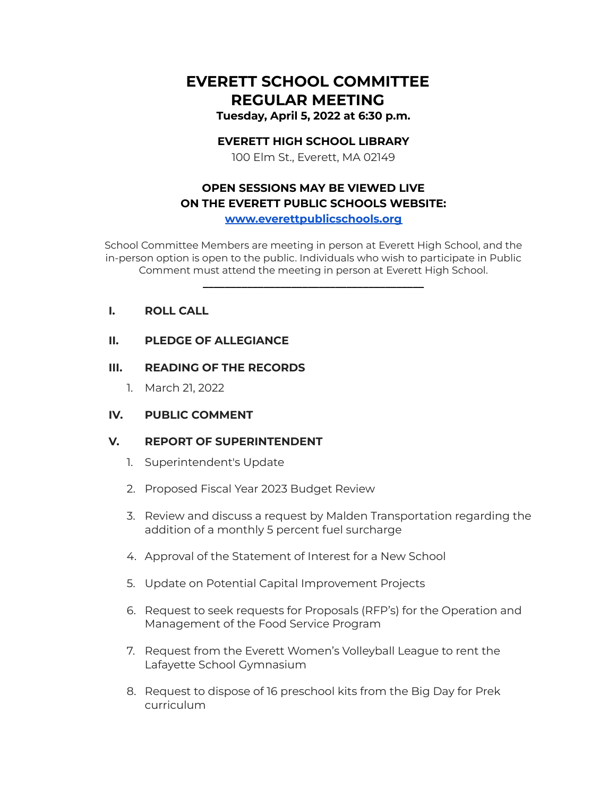# **EVERETT SCHOOL COMMITTEE REGULAR MEETING Tuesday, April 5, 2022 at 6:30 p.m.**

## **EVERETT HIGH SCHOOL LIBRARY**

100 Elm St., Everett, MA 02149

# **OPEN SESSIONS MAY BE VIEWED LIVE ON THE EVERETT PUBLIC SCHOOLS WEBSITE:**

**[www.everettpublicschools.org](http://www.everettpublicschools.org)**

School Committee Members are meeting in person at Everett High School, and the in-person option is open to the public. Individuals who wish to participate in Public Comment must attend the meeting in person at Everett High School.

**\_\_\_\_\_\_\_\_\_\_\_\_\_\_\_\_\_\_\_\_\_\_\_\_\_\_\_\_\_\_\_\_\_\_\_\_\_\_\_\_**

## **I. ROLL CALL**

### **II. PLEDGE OF ALLEGIANCE**

### **III. READING OF THE RECORDS**

1. March 21, 2022

## **IV. PUBLIC COMMENT**

## **V. REPORT OF SUPERINTENDENT**

- 1. Superintendent's Update
- 2. Proposed Fiscal Year 2023 Budget Review
- 3. Review and discuss a request by Malden Transportation regarding the addition of a monthly 5 percent fuel surcharge
- 4. Approval of the Statement of Interest for a New School
- 5. Update on Potential Capital Improvement Projects
- 6. Request to seek requests for Proposals (RFP's) for the Operation and Management of the Food Service Program
- 7. Request from the Everett Women's Volleyball League to rent the Lafayette School Gymnasium
- 8. Request to dispose of 16 preschool kits from the Big Day for Prek curriculum